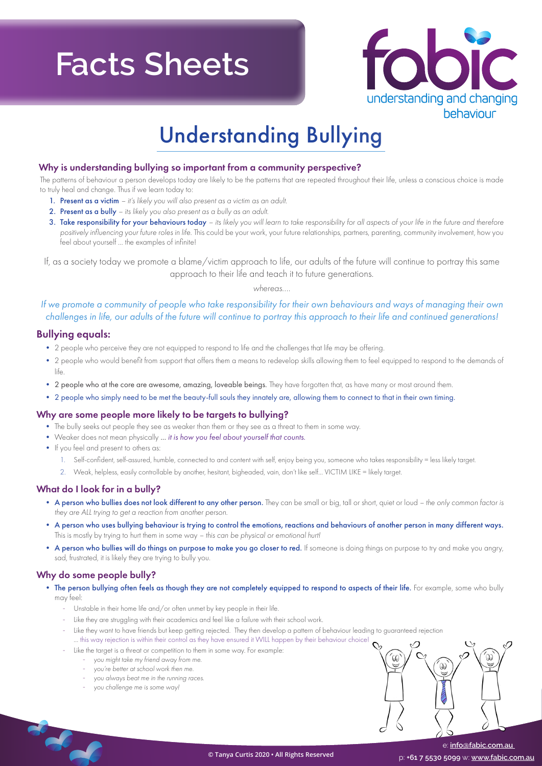# **Facts Sheets**



### Understanding Bullying

### Why is understanding bullying so important from a community perspective?

The patterns of behaviour a person develops today are likely to be the patterns that are repeated throughout their life, unless a conscious choice is made to truly heal and change. Thus if we learn today to:

- 1. Present as a victim  *it's likely you will also present as a victim as an adult.*
- 2. Present as a bully  *its likely you also present as a bully as an adult.*
- 3. Take responsibility for your behaviours today  *its likely you will learn to take responsibility for all aspects of your life in the future and therefore positively influencing your future roles in life.* This could be your work, your future relationships, partners, parenting, community involvement, how you feel about yourself ... the examples of infinite!

If, as a society today we promote a blame/victim approach to life, our adults of the future will continue to portray this same approach to their life and teach it to future generations.

*whereas....*

*If we promote a community of people who take responsibility for their own behaviours and ways of managing their own challenges in life, our adults of the future will continue to portray this approach to their life and continued generations!*

### Bullying equals:

- 2 people who perceive they are not equipped to respond to life and the challenges that life may be offering.
- 2 people who would benefit from support that offers them a means to redevelop skills allowing them to feel equipped to respond to the demands of life.
- 2 people who at the core are awesome, amazing, loveable beings. They have forgotten that, as have many or most around them.
- 2 people who simply need to be met the beauty-full souls they innately are, allowing them to connect to that in their own timing.

### Why are some people more likely to be targets to bullying?

- The bully seeks out people they see as weaker than them or they see as a threat to them in some way.
- Weaker does not mean physically *... it is how you feel about yourself that counts.*
- If you feel and present to others as:
	- 1. Self-confident, self-assured, humble, connected to and content with self, enjoy being you, someone who takes responsibility = less likely target.
	- 2. Weak, helpless, easily controllable by another, hesitant, bigheaded, vain, don't like self... VICTIM LIKE = likely target.

### What do I look for in a bully?

- A person who bullies does not look different to any other person. They can be small or big, tall or short, quiet or loud *the only common factor is they are ALL trying to get a reaction from another person.*
- A person who uses bullying behaviour is trying to control the emotions, reactions and behaviours of another person in many different ways. This is mostly by trying to hurt them in some way *– this can be physical or emotional hurt!*
- A person who bullies will do things on purpose to make you go closer to red. If someone is doing things on purpose to try and make you angry, sad, frustrated, it is likely they are trying to bully you.

### Why do some people bully?

- The person bullying often feels as though they are not completely equipped to respond to aspects of their life. For example, some who bully may feel:
	- Unstable in their home life and/or often unmet by key people in their life.
	- Like they are struggling with their academics and feel like a failure with their school work.
		- Like they want to have friends but keep getting rejected. They then develop a pattern of behaviour leading to guaranteed rejection ... this way rejection is within their control as they have ensured it WILL happen by their behaviour choice!
		- Like the target is a threat or competition to them in some way. For example:
			- *you might take my friend away from me.*
			- *you're better at school work then me.*
			- *you always beat me in the running races.*
			- *you challenge me is some way!*



 e: **info@fabic.com.au**  p: **+61 7 5530 5099** w: **www.fabic.com.au**